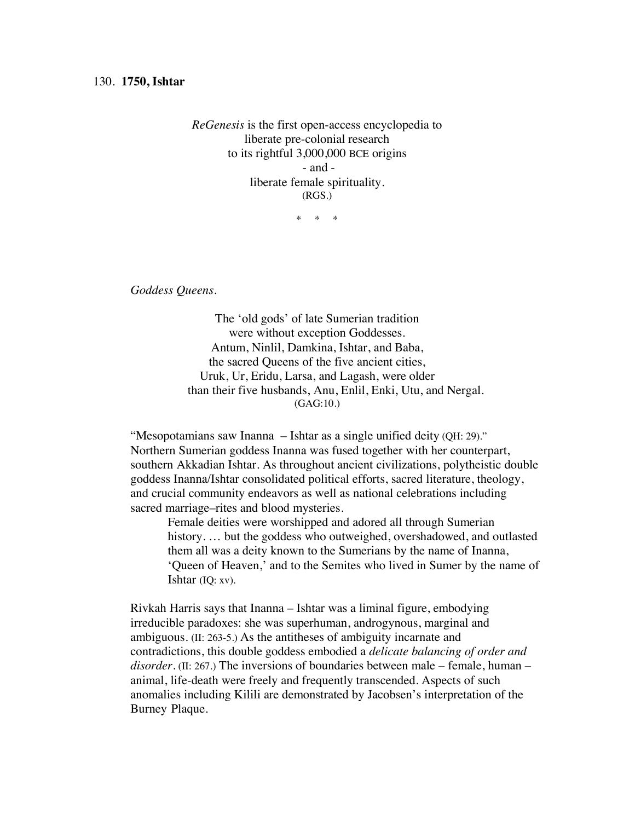*ReGenesis* is the first open-access encyclopedia to liberate pre-colonial research to its rightful 3,000,000 BCE origins - and liberate female spirituality. (RGS.)

\* \* \*

*Goddess Queens.*

The 'old gods' of late Sumerian tradition were without exception Goddesses. Antum, Ninlil, Damkina, Ishtar, and Baba, the sacred Queens of the five ancient cities, Uruk, Ur, Eridu, Larsa, and Lagash, were older than their five husbands, Anu, Enlil, Enki, Utu, and Nergal. (GAG:10.)

"Mesopotamians saw Inanna – Ishtar as a single unified deity (QH: 29)." Northern Sumerian goddess Inanna was fused together with her counterpart, southern Akkadian Ishtar. As throughout ancient civilizations, polytheistic double goddess Inanna/Ishtar consolidated political efforts, sacred literature, theology, and crucial community endeavors as well as national celebrations including sacred marriage–rites and blood mysteries.

Female deities were worshipped and adored all through Sumerian history. … but the goddess who outweighed, overshadowed, and outlasted them all was a deity known to the Sumerians by the name of Inanna, 'Queen of Heaven,' and to the Semites who lived in Sumer by the name of Ishtar (IQ: xv).

Rivkah Harris says that Inanna – Ishtar was a liminal figure, embodying irreducible paradoxes: she was superhuman, androgynous, marginal and ambiguous. (II: 263-5.) As the antitheses of ambiguity incarnate and contradictions, this double goddess embodied a *delicate balancing of order and disorder*. (II: 267.) The inversions of boundaries between male – female, human – animal, life-death were freely and frequently transcended. Aspects of such anomalies including Kilili are demonstrated by Jacobsen's interpretation of the Burney Plaque.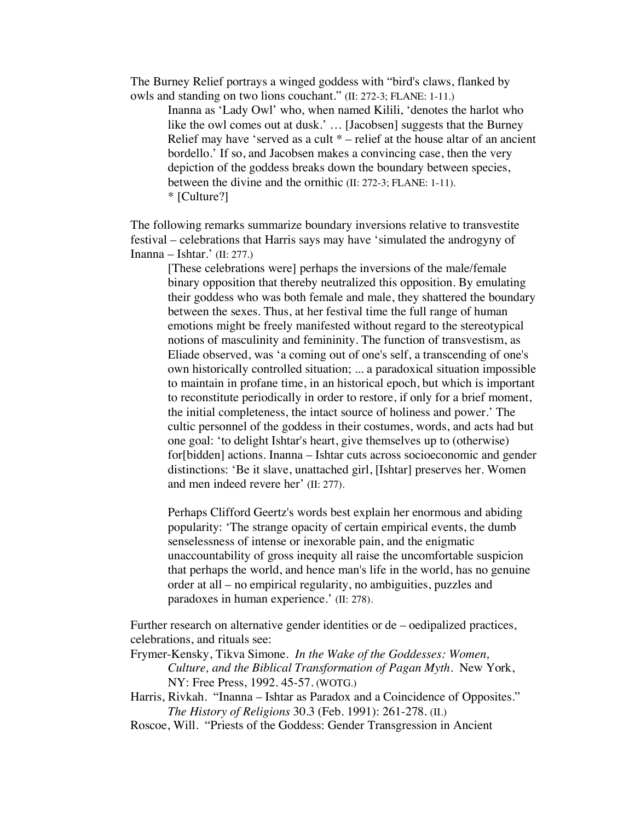The Burney Relief portrays a winged goddess with "bird's claws, flanked by owls and standing on two lions couchant." (II: 272-3; FLANE: 1-11.)

Inanna as 'Lady Owl' who, when named Kilili, 'denotes the harlot who like the owl comes out at dusk.' … [Jacobsen] suggests that the Burney Relief may have 'served as a cult  $*$  – relief at the house altar of an ancient bordello.' If so, and Jacobsen makes a convincing case, then the very depiction of the goddess breaks down the boundary between species, between the divine and the ornithic (II: 272-3; FLANE: 1-11). \* [Culture?]

The following remarks summarize boundary inversions relative to transvestite festival – celebrations that Harris says may have 'simulated the androgyny of Inanna – Ishtar.' (II: 277.)

[These celebrations were] perhaps the inversions of the male/female binary opposition that thereby neutralized this opposition. By emulating their goddess who was both female and male, they shattered the boundary between the sexes. Thus, at her festival time the full range of human emotions might be freely manifested without regard to the stereotypical notions of masculinity and femininity. The function of transvestism, as Eliade observed, was 'a coming out of one's self, a transcending of one's own historically controlled situation; ... a paradoxical situation impossible to maintain in profane time, in an historical epoch, but which is important to reconstitute periodically in order to restore, if only for a brief moment, the initial completeness, the intact source of holiness and power.' The cultic personnel of the goddess in their costumes, words, and acts had but one goal: 'to delight Ishtar's heart, give themselves up to (otherwise) for[bidden] actions. Inanna – Ishtar cuts across socioeconomic and gender distinctions: 'Be it slave, unattached girl, [Ishtar] preserves her. Women and men indeed revere her' (II: 277).

Perhaps Clifford Geertz's words best explain her enormous and abiding popularity: 'The strange opacity of certain empirical events, the dumb senselessness of intense or inexorable pain, and the enigmatic unaccountability of gross inequity all raise the uncomfortable suspicion that perhaps the world, and hence man's life in the world, has no genuine order at all – no empirical regularity, no ambiguities, puzzles and paradoxes in human experience.' (II: 278).

Further research on alternative gender identities or de – oedipalized practices, celebrations, and rituals see:

Frymer-Kensky, Tikva Simone. *In the Wake of the Goddesses: Women, Culture, and the Biblical Transformation of Pagan Myth*. New York, NY: Free Press, 1992. 45-57. (WOTG.)

Harris, Rivkah. "Inanna – Ishtar as Paradox and a Coincidence of Opposites." *The History of Religions* 30.3 (Feb. 1991): 261-278. (II.)

Roscoe, Will. "Priests of the Goddess: Gender Transgression in Ancient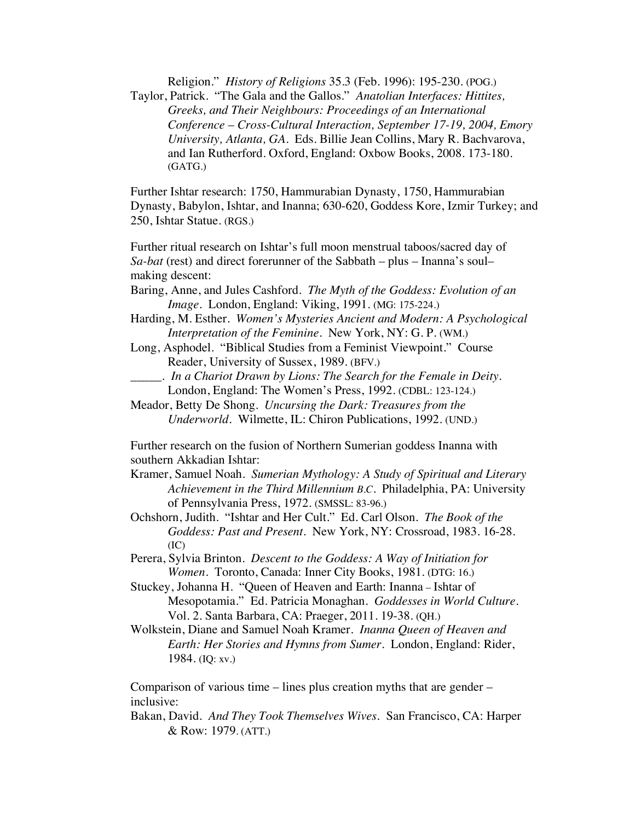Religion." *History of Religions* 35.3 (Feb. 1996): 195-230. (POG.)

Taylor, Patrick. "The Gala and the Gallos." *Anatolian Interfaces: Hittites, Greeks, and Their Neighbours: Proceedings of an International Conference* – *Cross-Cultural Interaction, September 17-19, 2004, Emory University, Atlanta, GA.* Eds. Billie Jean Collins, Mary R. Bachvarova, and Ian Rutherford. Oxford, England: Oxbow Books, 2008. 173-180. (GATG.)

Further Ishtar research: 1750, Hammurabian Dynasty, 1750, Hammurabian Dynasty, Babylon, Ishtar, and Inanna; 630-620, Goddess Kore, Izmir Turkey; and 250, Ishtar Statue. (RGS.)

Further ritual research on Ishtar's full moon menstrual taboos/sacred day of *Sa-bat* (rest) and direct forerunner of the Sabbath – plus – Inanna's soul– making descent:

- Baring, Anne, and Jules Cashford. *The Myth of the Goddess: Evolution of an Image*. London, England: Viking, 1991. (MG: 175-224.)
- Harding, M. Esther. *Women's Mysteries Ancient and Modern: A Psychological Interpretation of the Feminine*. New York, NY: G. P. (WM.)
- Long, Asphodel. "Biblical Studies from a Feminist Viewpoint." Course Reader, University of Sussex, 1989. (BFV.)
- \_\_\_\_\_. *In a Chariot Drawn by Lions: The Search for the Female in Deity.* London, England: The Women's Press, 1992. (CDBL: 123-124.)
- Meador, Betty De Shong. *Uncursing the Dark: Treasures from the Underworld*. Wilmette, IL: Chiron Publications, 1992. (UND.)

Further research on the fusion of Northern Sumerian goddess Inanna with southern Akkadian Ishtar:

- Kramer, Samuel Noah. *Sumerian Mythology: A Study of Spiritual and Literary Achievement in the Third Millennium B.C.* Philadelphia, PA: University of Pennsylvania Press, 1972. (SMSSL: 83-96.)
- Ochshorn, Judith. "Ishtar and Her Cult." Ed. Carl Olson. *The Book of the Goddess: Past and Present*. New York, NY: Crossroad, 1983. 16-28. (IC)
- Perera, Sylvia Brinton. *Descent to the Goddess: A Way of Initiation for Women*. Toronto, Canada: Inner City Books, 1981. (DTG: 16.)
- Stuckey, Johanna H. "Queen of Heaven and Earth: Inanna Ishtar of Mesopotamia." Ed. Patricia Monaghan. *Goddesses in World Culture*. Vol. 2. Santa Barbara, CA: Praeger, 2011. 19-38. (QH.)
- Wolkstein, Diane and Samuel Noah Kramer. *Inanna Queen of Heaven and Earth: Her Stories and Hymns from Sumer*. London, England: Rider, 1984. (IQ: xv.)

Comparison of various time – lines plus creation myths that are gender – inclusive:

Bakan, David. *And They Took Themselves Wives*. San Francisco, CA: Harper & Row: 1979. (ATT.)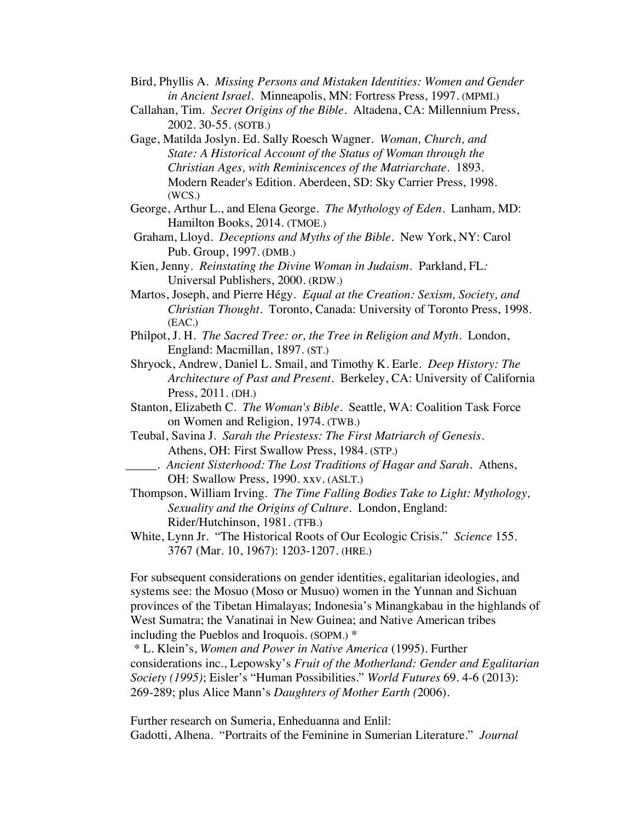- Bird, Phyllis A. *Missing Persons and Mistaken Identities: Women and Gender in Ancient Israel.* Minneapolis, MN: Fortress Press, 1997. (MPMI.)
- Callahan, Tim. *Secret Origins of the Bible.* Altadena, CA: Millennium Press, 2002. 30-55. (SOTB.)
- Gage, Matilda Joslyn. Ed. Sally Roesch Wagner. *Woman, Church, and State: A Historical Account of the Status of Woman through the Christian Ages, with Reminiscences of the Matriarchate*. 1893. Modern Reader's Edition. Aberdeen, SD: Sky Carrier Press, 1998. (WCS.)
- George, Arthur L., and Elena George. *The Mythology of Eden*. Lanham, MD: Hamilton Books, 2014. (TMOE.)
- Graham, Lloyd. *Deceptions and Myths of the Bible*. New York, NY: Carol Pub. Group, 1997. (DMB.)
- Kien, Jenny. *Reinstating the Divine Woman in Judaism.* Parkland, FL*:*  Universal Publishers, 2000. (RDW.)
- Martos, Joseph, and Pierre Hégy. *Equal at the Creation: Sexism, Society, and Christian Thought*. Toronto, Canada: University of Toronto Press, 1998. (EAC.)
- Philpot, J. H. *The Sacred Tree: or, the Tree in Religion and Myth*. London, England: Macmillan, 1897. (ST.)
- Shryock, Andrew, Daniel L. Smail, and Timothy K. Earle. *Deep History: The Architecture of Past and Present*. Berkeley, CA: University of California Press, 2011. (DH.)
- Stanton, Elizabeth C. *The Woman's Bible*. Seattle, WA: Coalition Task Force on Women and Religion, 1974. (TWB.)
- Teubal, Savina J. *Sarah the Priestess: The First Matriarch of Genesis*. Athens, OH: First Swallow Press, 1984. (STP.)
- \_\_\_\_\_. *Ancient Sisterhood: The Lost Traditions of Hagar and Sarah*. Athens, OH: Swallow Press, 1990. xxv. (ASLT.)
- Thompson, William Irving. *The Time Falling Bodies Take to Light: Mythology, Sexuality and the Origins of Culture.* London, England: Rider/Hutchinson, 1981. (TFB.)
- White, Lynn Jr. "The Historical Roots of Our Ecologic Crisis." *Science* 155. 3767 (Mar. 10, 1967): 1203-1207. (HRE.)

For subsequent considerations on gender identities, egalitarian ideologies, and systems see: the Mosuo (Moso or Musuo) women in the Yunnan and Sichuan provinces of the Tibetan Himalayas; Indonesia's Minangkabau in the highlands of West Sumatra; the Vanatinai in New Guinea; and Native American tribes including the Pueblos and Iroquois. (SOPM.) \*

*\** L. Klein's, *Women and Power in Native America* (1995). Further considerations inc., Lepowsky's *Fruit of the Motherland: Gender and Egalitarian Society (1995)*; Eisler's "Human Possibilities." *World Futures* 69. 4-6 (2013): 269-289; plus Alice Mann's *Daughters of Mother Earth (*2006).

Further research on Sumeria, Enheduanna and Enlil: Gadotti, Alhena. "Portraits of the Feminine in Sumerian Literature." *Journal*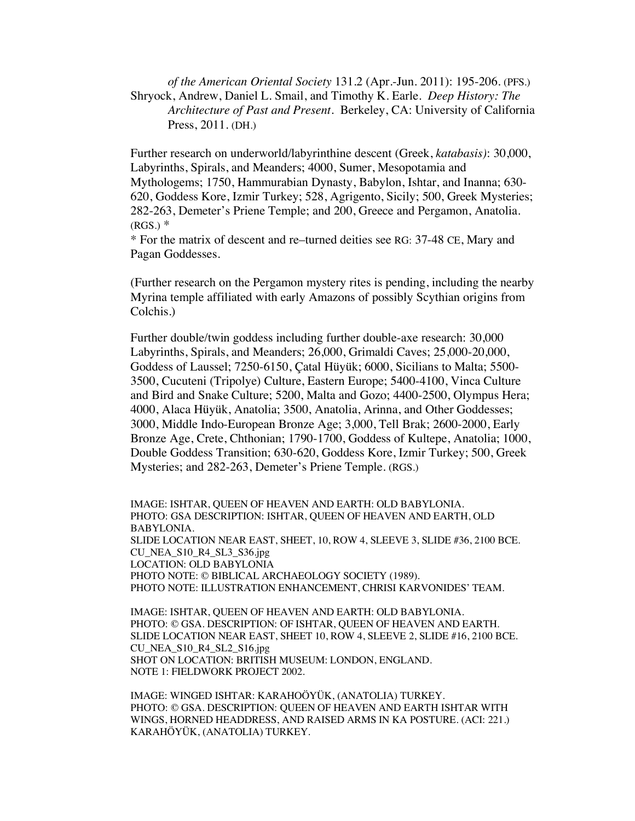*of the American Oriental Society* 131.2 (Apr.-Jun. 2011): 195-206. (PFS.) Shryock, Andrew, Daniel L. Smail, and Timothy K. Earle. *Deep History: The Architecture of Past and Present*. Berkeley, CA: University of California Press, 2011. (DH.)

Further research on underworld/labyrinthine descent (Greek, *katabasis)*: 30,000, Labyrinths, Spirals, and Meanders; 4000, Sumer, Mesopotamia and Mythologems; 1750, Hammurabian Dynasty, Babylon, Ishtar, and Inanna; 630- 620, Goddess Kore, Izmir Turkey; 528, Agrigento, Sicily; 500, Greek Mysteries; 282-263, Demeter's Priene Temple; and 200, Greece and Pergamon, Anatolia.  $(RGS.)$   $*$ 

\* For the matrix of descent and re–turned deities see RG: 37-48 CE, Mary and Pagan Goddesses.

(Further research on the Pergamon mystery rites is pending, including the nearby Myrina temple affiliated with early Amazons of possibly Scythian origins from Colchis.)

Further double/twin goddess including further double-axe research: 30,000 Labyrinths, Spirals, and Meanders; 26,000, Grimaldi Caves; 25,000-20,000, Goddess of Laussel; 7250-6150, Çatal Hüyük; 6000, Sicilians to Malta; 5500- 3500, Cucuteni (Tripolye) Culture, Eastern Europe; 5400-4100, Vinca Culture and Bird and Snake Culture; 5200, Malta and Gozo; 4400-2500, Olympus Hera; 4000, Alaca Hüyük, Anatolia; 3500, Anatolia, Arinna, and Other Goddesses; 3000, Middle Indo-European Bronze Age; 3,000, Tell Brak; 2600-2000, Early Bronze Age, Crete, Chthonian; 1790-1700, Goddess of Kultepe, Anatolia; 1000, Double Goddess Transition; 630-620, Goddess Kore, Izmir Turkey; 500, Greek Mysteries; and 282-263, Demeter's Priene Temple. (RGS.)

IMAGE: ISHTAR, QUEEN OF HEAVEN AND EARTH: OLD BABYLONIA. PHOTO: GSA DESCRIPTION: ISHTAR, QUEEN OF HEAVEN AND EARTH, OLD BABYLONIA. SLIDE LOCATION NEAR EAST, SHEET, 10, ROW 4, SLEEVE 3, SLIDE #36, 2100 BCE. CU\_NEA\_S10\_R4\_SL3\_S36.jpg LOCATION: OLD BABYLONIA PHOTO NOTE: © BIBLICAL ARCHAEOLOGY SOCIETY (1989). PHOTO NOTE: ILLUSTRATION ENHANCEMENT, CHRISI KARVONIDES' TEAM.

IMAGE: ISHTAR, QUEEN OF HEAVEN AND EARTH: OLD BABYLONIA. PHOTO: © GSA. DESCRIPTION: OF ISHTAR, QUEEN OF HEAVEN AND EARTH. SLIDE LOCATION NEAR EAST, SHEET 10, ROW 4, SLEEVE 2, SLIDE #16, 2100 BCE. CU\_NEA\_S10\_R4\_SL2\_S16.jpg SHOT ON LOCATION: BRITISH MUSEUM: LONDON, ENGLAND. NOTE 1: FIELDWORK PROJECT 2002.

IMAGE: WINGED ISHTAR: KARAHOÖYÜK, (ANATOLIA) TURKEY. PHOTO: © GSA. DESCRIPTION: QUEEN OF HEAVEN AND EARTH ISHTAR WITH WINGS, HORNED HEADDRESS, AND RAISED ARMS IN KA POSTURE. (ACI: 221.) KARAHÖYÜK, (ANATOLIA) TURKEY.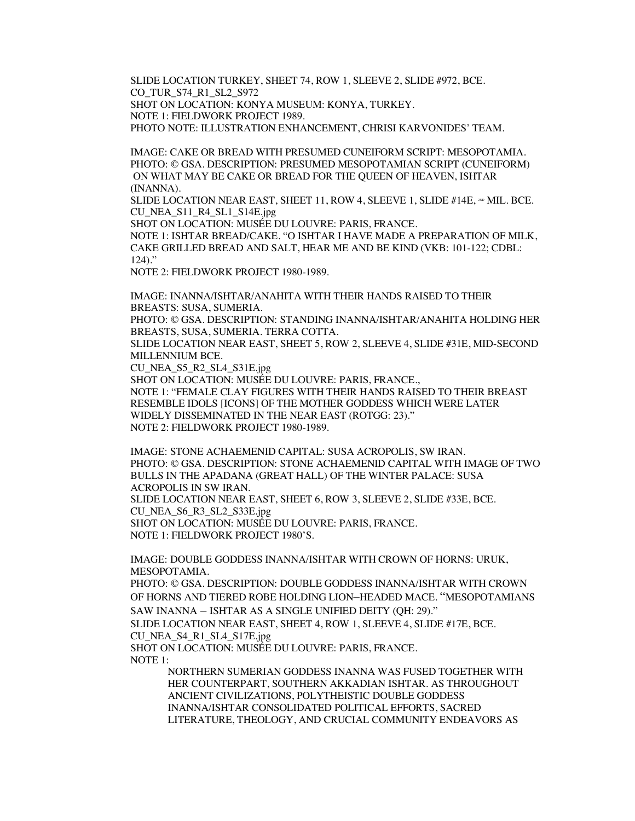SLIDE LOCATION TURKEY, SHEET 74, ROW 1, SLEEVE 2, SLIDE #972, BCE. CO\_TUR\_S74\_R1\_SL2\_S972 SHOT ON LOCATION: KONYA MUSEUM: KONYA, TURKEY. NOTE 1: FIELDWORK PROJECT 1989. PHOTO NOTE: ILLUSTRATION ENHANCEMENT, CHRISI KARVONIDES' TEAM.

IMAGE: CAKE OR BREAD WITH PRESUMED CUNEIFORM SCRIPT: MESOPOTAMIA. PHOTO: © GSA. DESCRIPTION: PRESUMED MESOPOTAMIAN SCRIPT (CUNEIFORM) ON WHAT MAY BE CAKE OR BREAD FOR THE QUEEN OF HEAVEN, ISHTAR (INANNA).

SLIDE LOCATION NEAR EAST, SHEET 11, ROW 4, SLEEVE 1, SLIDE  $\#14E, \times MIL$ . BCE. CU\_NEA\_S11\_R4\_SL1\_S14E.jpg

SHOT ON LOCATION: MUSÉE DU LOUVRE: PARIS, FRANCE.

NOTE 1: ISHTAR BREAD/CAKE. "O ISHTAR I HAVE MADE A PREPARATION OF MILK, CAKE GRILLED BREAD AND SALT, HEAR ME AND BE KIND (VKB: 101-122; CDBL: 124)."

NOTE 2: FIELDWORK PROJECT 1980-1989.

IMAGE: INANNA/ISHTAR/ANAHITA WITH THEIR HANDS RAISED TO THEIR BREASTS: SUSA, SUMERIA.

PHOTO: © GSA. DESCRIPTION: STANDING INANNA/ISHTAR/ANAHITA HOLDING HER BREASTS, SUSA, SUMERIA. TERRA COTTA.

SLIDE LOCATION NEAR EAST, SHEET 5, ROW 2, SLEEVE 4, SLIDE #31E, MID-SECOND MILLENNIUM BCE.

CU\_NEA\_S5\_R2\_SL4\_S31E.jpg

SHOT ON LOCATION: MUSÉE DU LOUVRE: PARIS, FRANCE., NOTE 1: "FEMALE CLAY FIGURES WITH THEIR HANDS RAISED TO THEIR BREAST RESEMBLE IDOLS [ICONS] OF THE MOTHER GODDESS WHICH WERE LATER WIDELY DISSEMINATED IN THE NEAR EAST (ROTGG: 23)." NOTE 2: FIELDWORK PROJECT 1980-1989.

IMAGE: STONE ACHAEMENID CAPITAL: SUSA ACROPOLIS, SW IRAN. PHOTO: © GSA. DESCRIPTION: STONE ACHAEMENID CAPITAL WITH IMAGE OF TWO BULLS IN THE APADANA (GREAT HALL) OF THE WINTER PALACE: SUSA ACROPOLIS IN SW IRAN.

SLIDE LOCATION NEAR EAST, SHEET 6, ROW 3, SLEEVE 2, SLIDE #33E, BCE. CU\_NEA\_S6\_R3\_SL2\_S33E.jpg

SHOT ON LOCATION: MUSÉE DU LOUVRE: PARIS, FRANCE. NOTE 1: FIELDWORK PROJECT 1980'S.

IMAGE: DOUBLE GODDESS INANNA/ISHTAR WITH CROWN OF HORNS: URUK, MESOPOTAMIA.

PHOTO: © GSA. DESCRIPTION: DOUBLE GODDESS INANNA/ISHTAR WITH CROWN OF HORNS AND TIERED ROBE HOLDING LION–HEADED MACE. "MESOPOTAMIANS SAW INANNA – ISHTAR AS A SINGLE UNIFIED DEITY (QH: 29)."

SLIDE LOCATION NEAR EAST, SHEET 4, ROW 1, SLEEVE 4, SLIDE #17E, BCE.

CU\_NEA\_S4\_R1\_SL4\_S17E.jpg

SHOT ON LOCATION: MUSÉE DU LOUVRE: PARIS, FRANCE. NOTE 1:

> NORTHERN SUMERIAN GODDESS INANNA WAS FUSED TOGETHER WITH HER COUNTERPART, SOUTHERN AKKADIAN ISHTAR. AS THROUGHOUT ANCIENT CIVILIZATIONS, POLYTHEISTIC DOUBLE GODDESS INANNA/ISHTAR CONSOLIDATED POLITICAL EFFORTS, SACRED LITERATURE, THEOLOGY, AND CRUCIAL COMMUNITY ENDEAVORS AS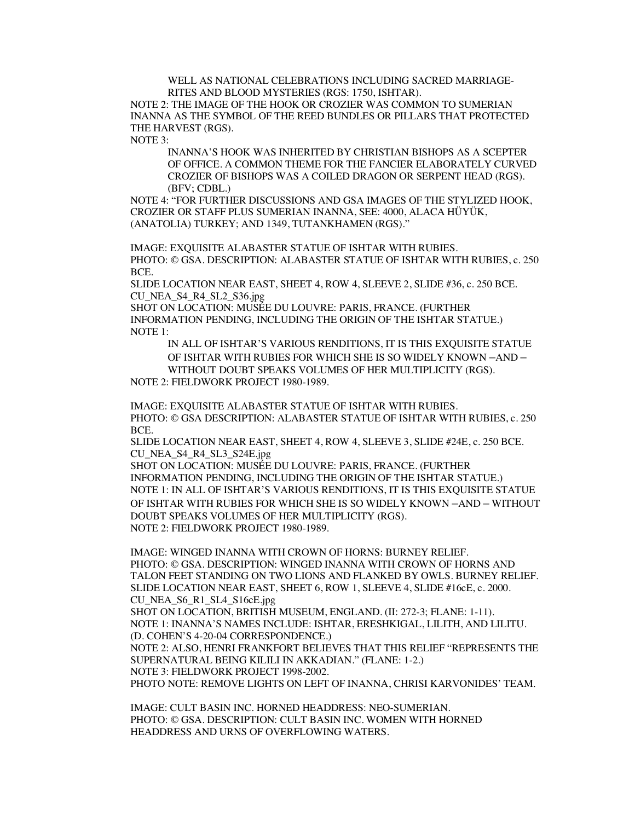WELL AS NATIONAL CELEBRATIONS INCLUDING SACRED MARRIAGE-RITES AND BLOOD MYSTERIES (RGS: 1750, ISHTAR).

NOTE 2: THE IMAGE OF THE HOOK OR CROZIER WAS COMMON TO SUMERIAN INANNA AS THE SYMBOL OF THE REED BUNDLES OR PILLARS THAT PROTECTED THE HARVEST (RGS).

NOTE 3:

INANNA'S HOOK WAS INHERITED BY CHRISTIAN BISHOPS AS A SCEPTER OF OFFICE. A COMMON THEME FOR THE FANCIER ELABORATELY CURVED CROZIER OF BISHOPS WAS A COILED DRAGON OR SERPENT HEAD (RGS). (BFV; CDBL.)

NOTE 4: "FOR FURTHER DISCUSSIONS AND GSA IMAGES OF THE STYLIZED HOOK, CROZIER OR STAFF PLUS SUMERIAN INANNA, SEE: 4000, ALACA HÜYÜK, (ANATOLIA) TURKEY; AND 1349, TUTANKHAMEN (RGS)."

IMAGE: EXQUISITE ALABASTER STATUE OF ISHTAR WITH RUBIES. PHOTO: © GSA. DESCRIPTION: ALABASTER STATUE OF ISHTAR WITH RUBIES, c. 250 BCE.

SLIDE LOCATION NEAR EAST, SHEET 4, ROW 4, SLEEVE 2, SLIDE #36, c. 250 BCE. CU\_NEA\_S4\_R4\_SL2\_S36.jpg

SHOT ON LOCATION: MUSÉE DU LOUVRE: PARIS, FRANCE. (FURTHER INFORMATION PENDING, INCLUDING THE ORIGIN OF THE ISHTAR STATUE.) NOTE 1:

IN ALL OF ISHTAR'S VARIOUS RENDITIONS, IT IS THIS EXQUISITE STATUE OF ISHTAR WITH RUBIES FOR WHICH SHE IS SO WIDELY KNOWN –AND – WITHOUT DOUBT SPEAKS VOLUMES OF HER MULTIPLICITY (RGS).

NOTE 2: FIELDWORK PROJECT 1980-1989.

IMAGE: EXQUISITE ALABASTER STATUE OF ISHTAR WITH RUBIES. PHOTO: © GSA DESCRIPTION: ALABASTER STATUE OF ISHTAR WITH RUBIES, c. 250 BCE.

SLIDE LOCATION NEAR EAST, SHEET 4, ROW 4, SLEEVE 3, SLIDE #24E, c. 250 BCE. CU\_NEA\_S4\_R4\_SL3\_S24E.jpg

SHOT ON LOCATION: MUSÉE DU LOUVRE: PARIS, FRANCE. (FURTHER INFORMATION PENDING, INCLUDING THE ORIGIN OF THE ISHTAR STATUE.) NOTE 1: IN ALL OF ISHTAR'S VARIOUS RENDITIONS, IT IS THIS EXQUISITE STATUE OF ISHTAR WITH RUBIES FOR WHICH SHE IS SO WIDELY KNOWN –AND – WITHOUT DOUBT SPEAKS VOLUMES OF HER MULTIPLICITY (RGS). NOTE 2: FIELDWORK PROJECT 1980-1989.

IMAGE: WINGED INANNA WITH CROWN OF HORNS: BURNEY RELIEF. PHOTO: © GSA. DESCRIPTION: WINGED INANNA WITH CROWN OF HORNS AND TALON FEET STANDING ON TWO LIONS AND FLANKED BY OWLS. BURNEY RELIEF. SLIDE LOCATION NEAR EAST, SHEET 6, ROW 1, SLEEVE 4, SLIDE #16cE, c. 2000. CU\_NEA\_S6\_R1\_SL4\_S16cE.jpg SHOT ON LOCATION, BRITISH MUSEUM, ENGLAND. (II: 272-3; FLANE: 1-11).

NOTE 1: INANNA'S NAMES INCLUDE: ISHTAR, ERESHKIGAL, LILITH, AND LILITU. (D. COHEN'S 4-20-04 CORRESPONDENCE.)

NOTE 2: ALSO, HENRI FRANKFORT BELIEVES THAT THIS RELIEF "REPRESENTS THE SUPERNATURAL BEING KILILI IN AKKADIAN." (FLANE: 1-2.) NOTE 3: FIELDWORK PROJECT 1998-2002.

PHOTO NOTE: REMOVE LIGHTS ON LEFT OF INANNA, CHRISI KARVONIDES' TEAM.

IMAGE: CULT BASIN INC. HORNED HEADDRESS: NEO-SUMERIAN. PHOTO: © GSA. DESCRIPTION: CULT BASIN INC. WOMEN WITH HORNED HEADDRESS AND URNS OF OVERFLOWING WATERS.